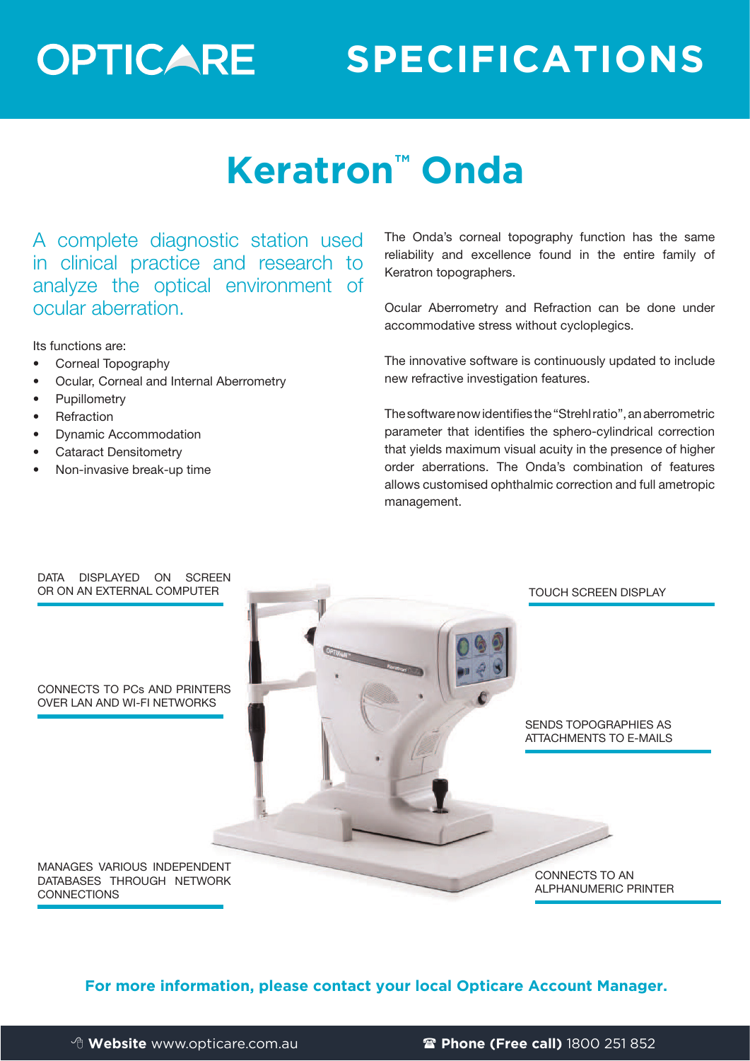## **OPTICARE**

### **SPECIFICATIONS**

### **Keratron™ Onda**

A complete diagnostic station used in clinical practice and research to analyze the optical environment of ocular aberration.

Its functions are:

- Corneal Topography
- Ocular, Corneal and Internal Aberrometry
- Pupillometry
- **Refraction**
- Dynamic Accommodation
- Cataract Densitometry
- Non-invasive break-up time

The Onda's corneal topography function has the same reliability and excellence found in the entire family of Keratron topographers.

Ocular Aberrometry and Refraction can be done under accommodative stress without cycloplegics.

The innovative software is continuously updated to include new refractive investigation features.

The software now identifies the "Strehl ratio", an aberrometric parameter that identifies the sphero-cylindrical correction that yields maximum visual acuity in the presence of higher order aberrations. The Onda's combination of features allows customised ophthalmic correction and full ametropic management.



**For more information, please contact your local Opticare Account Manager.**